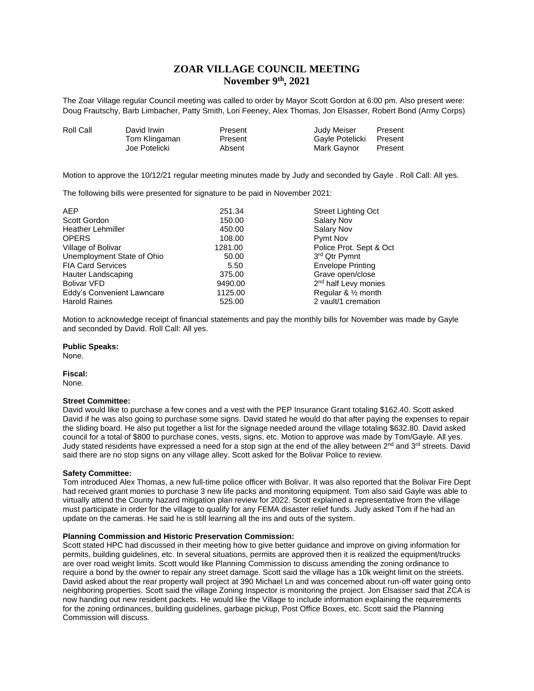# **ZOAR VILLAGE COUNCIL MEETING November 9th, 2021**

The Zoar Village regular Council meeting was called to order by Mayor Scott Gordon at 6:00 pm. Also present were: Doug Frautschy, Barb Limbacher, Patty Smith, Lori Feeney, Alex Thomas, Jon Elsasser, Robert Bond (Army Corps)

| Roll Call | David Irwin   | Present | Judy Meiser     | Present |
|-----------|---------------|---------|-----------------|---------|
|           | Tom Klingaman | Present | Gayle Potelicki | Present |
|           | Joe Potelicki | Absent  | Mark Gaynor     | Present |

Motion to approve the 10/12/21 regular meeting minutes made by Judy and seconded by Gayle . Roll Call: All yes.

The following bills were presented for signature to be paid in November 2021:

| <b>AEP</b>                 | 251.34  | <b>Street Lighting Oct</b>       |
|----------------------------|---------|----------------------------------|
| Scott Gordon               | 150.00  | <b>Salary Nov</b>                |
| <b>Heather Lehmiller</b>   | 450.00  | Salary Nov                       |
| <b>OPERS</b>               | 108.00  | Pymt Nov                         |
| Village of Bolivar         | 1281.00 | Police Prot. Sept & Oct          |
| Unemployment State of Ohio | 50.00   | 3rd Qtr Pymnt                    |
| <b>FIA Card Services</b>   | 5.50    | <b>Envelope Printing</b>         |
| Hauter Landscaping         | 375.00  | Grave open/close                 |
| <b>Bolivar VFD</b>         | 9490.00 | 2 <sup>nd</sup> half Levy monies |
| Eddy's Convenient Lawncare | 1125.00 | Regular & $\frac{1}{2}$ month    |
| <b>Harold Raines</b>       | 525.00  | 2 vault/1 cremation              |

Motion to acknowledge receipt of financial statements and pay the monthly bills for November was made by Gayle and seconded by David. Roll Call: All yes.

# **Public Speaks:**

None.

**Fiscal:** None.

# **Street Committee:**

David would like to purchase a few cones and a vest with the PEP Insurance Grant totaling \$162.40. Scott asked David if he was also going to purchase some signs. David stated he would do that after paying the expenses to repair the sliding board. He also put together a list for the signage needed around the village totaling \$632.80. David asked council for a total of \$800 to purchase cones, vests, signs, etc. Motion to approve was made by Tom/Gayle. All yes. Judy stated residents have expressed a need for a stop sign at the end of the alley between 2<sup>nd</sup> and 3<sup>rd</sup> streets. David said there are no stop signs on any village alley. Scott asked for the Bolivar Police to review.

#### **Safety Committee:**

Tom introduced Alex Thomas, a new full-time police officer with Bolivar. It was also reported that the Bolivar Fire Dept had received grant monies to purchase 3 new life packs and monitoring equipment. Tom also said Gayle was able to virtually attend the County hazard mitigation plan review for 2022. Scott explained a representative from the village must participate in order for the village to qualify for any FEMA disaster relief funds. Judy asked Tom if he had an update on the cameras. He said he is still learning all the ins and outs of the system.

## **Planning Commission and Historic Preservation Commission:**

Scott stated HPC had discussed in their meeting how to give better guidance and improve on giving information for permits, building guidelines, etc. In several situations, permits are approved then it is realized the equipment/trucks are over road weight limits. Scott would like Planning Commission to discuss amending the zoning ordinance to require a bond by the owner to repair any street damage. Scott said the village has a 10k weight limit on the streets. David asked about the rear property wall project at 390 Michael Ln and was concerned about run-off water going onto neighboring properties. Scott said the village Zoning Inspector is monitoring the project. Jon Elsasser said that ZCA is now handing out new resident packets. He would like the Village to include information explaining the requirements for the zoning ordinances, building guidelines, garbage pickup, Post Office Boxes, etc. Scott said the Planning Commission will discuss.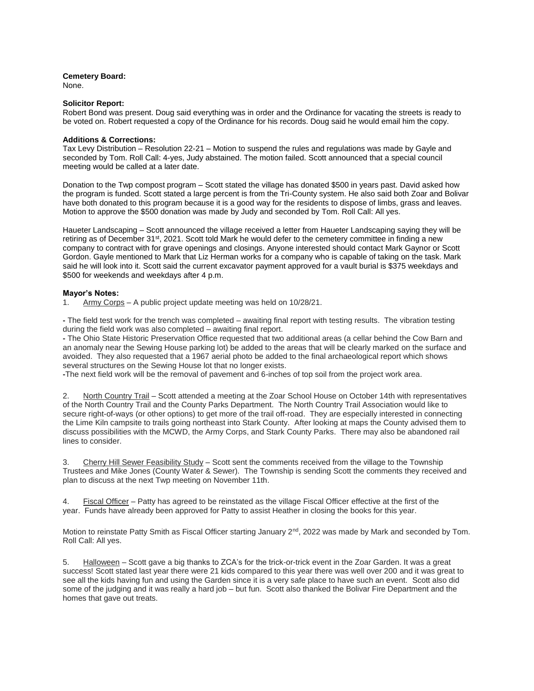# **Cemetery Board:**

None.

# **Solicitor Report:**

Robert Bond was present. Doug said everything was in order and the Ordinance for vacating the streets is ready to be voted on. Robert requested a copy of the Ordinance for his records. Doug said he would email him the copy.

# **Additions & Corrections:**

Tax Levy Distribution – Resolution 22-21 – Motion to suspend the rules and regulations was made by Gayle and seconded by Tom. Roll Call: 4-yes, Judy abstained. The motion failed. Scott announced that a special council meeting would be called at a later date.

Donation to the Twp compost program – Scott stated the village has donated \$500 in years past. David asked how the program is funded. Scott stated a large percent is from the Tri-County system. He also said both Zoar and Bolivar have both donated to this program because it is a good way for the residents to dispose of limbs, grass and leaves. Motion to approve the \$500 donation was made by Judy and seconded by Tom. Roll Call: All yes.

Haueter Landscaping – Scott announced the village received a letter from Haueter Landscaping saying they will be retiring as of December 31<sup>st</sup>, 2021. Scott told Mark he would defer to the cemetery committee in finding a new company to contract with for grave openings and closings. Anyone interested should contact Mark Gaynor or Scott Gordon. Gayle mentioned to Mark that Liz Herman works for a company who is capable of taking on the task. Mark said he will look into it. Scott said the current excavator payment approved for a vault burial is \$375 weekdays and \$500 for weekends and weekdays after 4 p.m.

# **Mayor's Notes:**

1. Army Corps - A public project update meeting was held on 10/28/21.

**-** The field test work for the trench was completed – awaiting final report with testing results. The vibration testing during the field work was also completed – awaiting final report.

**-** The Ohio State Historic Preservation Office requested that two additional areas (a cellar behind the Cow Barn and an anomaly near the Sewing House parking lot) be added to the areas that will be clearly marked on the surface and avoided. They also requested that a 1967 aerial photo be added to the final archaeological report which shows several structures on the Sewing House lot that no longer exists.

**-**The next field work will be the removal of pavement and 6-inches of top soil from the project work area.

2. North Country Trail – Scott attended a meeting at the Zoar School House on October 14th with representatives of the North Country Trail and the County Parks Department. The North Country Trail Association would like to secure right-of-ways (or other options) to get more of the trail off-road. They are especially interested in connecting the Lime Kiln campsite to trails going northeast into Stark County. After looking at maps the County advised them to discuss possibilities with the MCWD, the Army Corps, and Stark County Parks. There may also be abandoned rail lines to consider.

3. Cherry Hill Sewer Feasibility Study – Scott sent the comments received from the village to the Township Trustees and Mike Jones (County Water & Sewer). The Township is sending Scott the comments they received and plan to discuss at the next Twp meeting on November 11th.

4. Fiscal Officer – Patty has agreed to be reinstated as the village Fiscal Officer effective at the first of the year. Funds have already been approved for Patty to assist Heather in closing the books for this year.

Motion to reinstate Patty Smith as Fiscal Officer starting January 2<sup>nd</sup>, 2022 was made by Mark and seconded by Tom. Roll Call: All yes.

5. Halloween – Scott gave a big thanks to ZCA's for the trick-or-trick event in the Zoar Garden. It was a great success! Scott stated last year there were 21 kids compared to this year there was well over 200 and it was great to see all the kids having fun and using the Garden since it is a very safe place to have such an event. Scott also did some of the judging and it was really a hard job – but fun. Scott also thanked the Bolivar Fire Department and the homes that gave out treats.